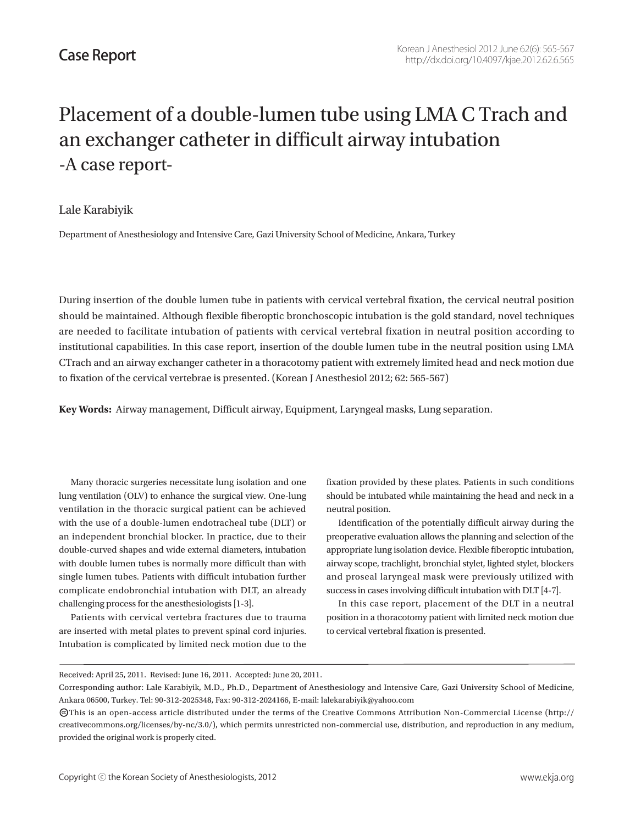# Placement of a double-lumen tube using LMA C Trach and an exchanger catheter in difficult airway intubation -A case report-

#### Lale Karabiyik

Department of Anesthesiology and Intensive Care, Gazi University School of Medicine, Ankara, Turkey

During insertion of the double lumen tube in patients with cervical vertebral fixation, the cervical neutral position should be maintained. Although flexible fiberoptic bronchoscopic intubation is the gold standard, novel techniques are needed to facilitate intubation of patients with cervical vertebral fixation in neutral position according to institutional capabilities. In this case report, insertion of the double lumen tube in the neutral position using LMA CTrach and an airway exchanger catheter in a thoracotomy patient with extremely limited head and neck motion due to fixation of the cervical vertebrae is presented. (Korean J Anesthesiol 2012; 62: 565-567)

**Key Words:** Airway management, Difficult airway, Equipment, Laryngeal masks, Lung separation.

Many thoracic surgeries necessitate lung isolation and one lung ventilation (OLV) to enhance the surgical view. One-lung ventilation in the thoracic surgical patient can be achieved with the use of a double-lumen endotracheal tube (DLT) or an independent bronchial blocker. In practice, due to their double-curved shapes and wide external diameters, intubation with double lumen tubes is normally more difficult than with single lumen tubes. Patients with difficult intubation further complicate endobronchial intubation with DLT, an already challenging process for the anesthesiologists [1-3].

Patients with cervical vertebra fractures due to trauma are inserted with metal plates to prevent spinal cord injuries. Intubation is complicated by limited neck motion due to the fixation provided by these plates. Patients in such conditions should be intubated while maintaining the head and neck in a neutral position.

Identification of the potentially difficult airway during the preoperative evaluation allows the planning and selection of the appropriate lung isolation device. Flexible fiberoptic intubation, airway scope, trachlight, bronchial stylet, lighted stylet, blockers and proseal laryngeal mask were previously utilized with success in cases involving difficult intubation with DLT [4-7].

In this case report, placement of the DLT in a neutral position in a thoracotomy patient with limited neck motion due to cervical vertebral fixation is presented.

Received: April 25, 2011. Revised: June 16, 2011. Accepted: June 20, 2011.

Corresponding author: Lale Karabiyik, M.D., Ph.D., Department of Anesthesiology and Intensive Care, Gazi University School of Medicine, Ankara 06500, Turkey. Tel: 90-312-2025348, Fax: 90-312-2024166, E-mail: lalekarabiyik@yahoo.com

This is an open-access article distributed under the terms of the Creative Commons Attribution Non-Commercial License (http:// CC creativecommons.org/licenses/by-nc/3.0/), which permits unrestricted non-commercial use, distribution, and reproduction in any medium, provided the original work is properly cited.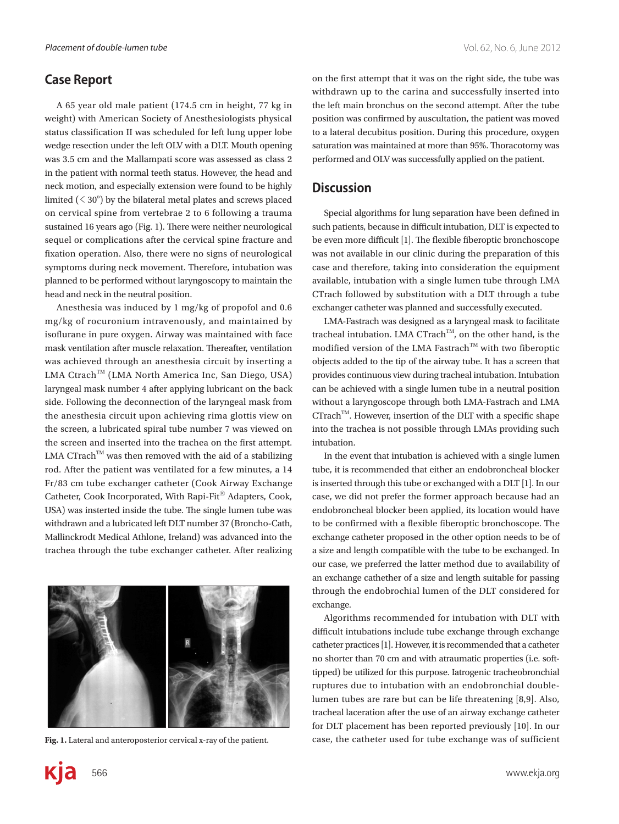## **Case Report**

A 65 year old male patient (174.5 cm in height, 77 kg in weight) with American Society of Anesthesiologists physical status classification II was scheduled for left lung upper lobe wedge resection under the left OLV with a DLT. Mouth opening was 3.5 cm and the Mallampati score was assessed as class 2 in the patient with normal teeth status. However, the head and neck motion, and especially extension were found to be highly limited  $( $30^\circ$ )$  by the bilateral metal plates and screws placed on cervical spine from vertebrae 2 to 6 following a trauma sustained 16 years ago (Fig. 1). There were neither neurological sequel or complications after the cervical spine fracture and fixation operation. Also, there were no signs of neurological symptoms during neck movement. Therefore, intubation was planned to be performed without laryngoscopy to maintain the head and neck in the neutral position.

Anesthesia was induced by 1 mg/kg of propofol and 0.6 mg/kg of rocuronium intravenously, and maintained by isoflurane in pure oxygen. Airway was maintained with face mask ventilation after muscle relaxation. Thereafter, ventilation was achieved through an anesthesia circuit by inserting a LMA Ctrach™ (LMA North America Inc, San Diego, USA) laryngeal mask number 4 after applying lubricant on the back side. Following the deconnection of the laryngeal mask from the anesthesia circuit upon achieving rima glottis view on the screen, a lubricated spiral tube number 7 was viewed on the screen and inserted into the trachea on the first attempt. LMA CTrach<sup>TM</sup> was then removed with the aid of a stabilizing rod. After the patient was ventilated for a few minutes, a 14 Fr/83 cm tube exchanger catheter (Cook Airway Exchange Catheter, Cook Incorporated, With Rapi-Fit<sup>®</sup> Adapters, Cook, USA) was insterted inside the tube. The single lumen tube was withdrawn and a lubricated left DLT number 37 (Broncho-Cath, Mallinckrodt Medical Athlone, Ireland) was advanced into the trachea through the tube exchanger catheter. After realizing



on the first attempt that it was on the right side, the tube was withdrawn up to the carina and successfully inserted into the left main bronchus on the second attempt. After the tube position was confirmed by auscultation, the patient was moved to a lateral decubitus position. During this procedure, oxygen saturation was maintained at more than 95%. Thoracotomy was performed and OLV was successfully applied on the patient.

#### **Discussion**

Special algorithms for lung separation have been defined in such patients, because in difficult intubation, DLT is expected to be even more difficult [1]. The flexible fiberoptic bronchoscope was not available in our clinic during the preparation of this case and therefore, taking into consideration the equipment available, intubation with a single lumen tube through LMA CTrach followed by substitution with a DLT through a tube exchanger catheter was planned and successfully executed.

LMA-Fastrach was designed as a laryngeal mask to facilitate tracheal intubation. LMA CTrach<sup>TM</sup>, on the other hand, is the modified version of the LMA Fastrach<sup>™</sup> with two fiberoptic objects added to the tip of the airway tube. It has a screen that provides continuous view during tracheal intubation. Intubation can be achieved with a single lumen tube in a neutral position without a laryngoscope through both LMA-Fastrach and LMA  $CTrach^{TM}$ . However, insertion of the DLT with a specific shape into the trachea is not possible through LMAs providing such intubation.

In the event that intubation is achieved with a single lumen tube, it is recommended that either an endobroncheal blocker is inserted through this tube or exchanged with a DLT [1]. In our case, we did not prefer the former approach because had an endobroncheal blocker been applied, its location would have to be confirmed with a flexible fiberoptic bronchoscope. The exchange catheter proposed in the other option needs to be of a size and length compatible with the tube to be exchanged. In our case, we preferred the latter method due to availability of an exchange cathether of a size and length suitable for passing through the endobrochial lumen of the DLT considered for exchange.

Algorithms recommended for intubation with DLT with difficult intubations include tube exchange through exchange catheter practices [1]. However, it is recommended that a catheter no shorter than 70 cm and with atraumatic properties (i.e. softtipped) be utilized for this purpose. Iatrogenic tracheobronchial ruptures due to intubation with an endobronchial doublelumen tubes are rare but can be life threatening [8,9]. Also, tracheal laceration after the use of an airway exchange catheter for DLT placement has been reported previously [10]. In our Fig. 1. Lateral and anteroposterior cervical x-ray of the patient. case, the catheter used for tube exchange was of sufficient